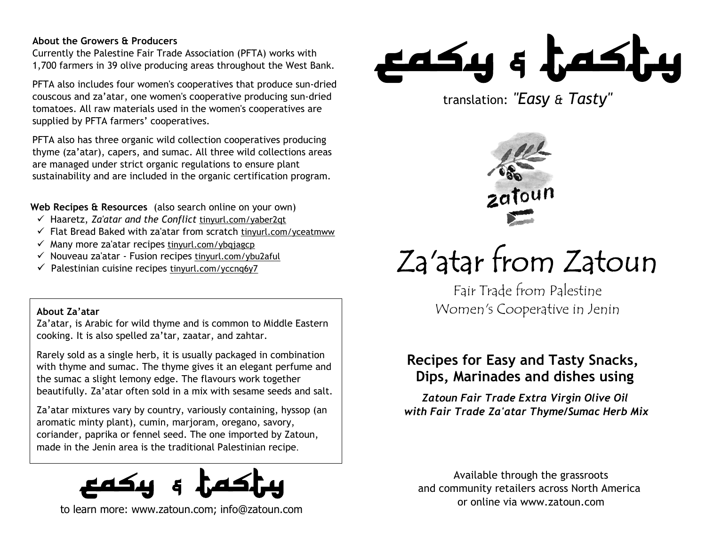## **About the Growers & Producers**

Currently the Palestine Fair Trade Association (PFTA) works with 1,700 farmers in 39 olive producing areas throughout the West Bank.

PFTA also includes four women's cooperatives that produce sun-dried couscous and za'atar, one women's cooperative producing sun-dried tomatoes. All raw materials used in the women's cooperatives are supplied by PFTA farmers' cooperatives.

PFTA also has three organic wild collection cooperatives producing thyme (za'atar), capers, and sumac. All three wild collections areas are managed under strict organic regulations to ensure plant sustainability and are included in the organic certification program.

**Web Recipes & Resources** (also search online on your own)

- Haaretz, *Za'atar and the Conflict* tinyurl.com/yaber2qt
- $\checkmark$  Flat Bread Baked with za'atar from scratch tinyurl.com/yceatmww
- $\checkmark$  Many more za'atar recipes tinyurl.com/ybgiagcp
- $\checkmark$  Nouveau za'atar Fusion recipes tinyurl.com/ybu2aful
- $\checkmark$  Palestinian cuisine recipes tinyurl.com/yccnq6y7

## **About Za'atar**

Za'atar, is Arabic for wild thyme and is common to Middle Eastern cooking. It is also spelled za'tar, zaatar, and zahtar.

Rarely sold as a single herb, it is usually packaged in combination with thyme and sumac. The thyme gives it an elegant perfume and the sumac a slight lemony edge. The flavours work together beautifully. Za'atar often sold in a mix with sesame seeds and salt.

Za'atar mixtures vary by country, variously containing, hyssop (an aromatic minty plant), cumin, marjoram, oregano, savory, coriander, paprika or fennel seed. The one imported by Zatoun, made in the Jenin area is the traditional Palestinian recipe.



to learn more: www.zatoun.com; info@zatoun.com



translation: *"Easy & Tasty"*



# Za'atar from Zatoun

Fair Trade from Palestine Women's Cooperative in Jenin

# **Recipes for Easy and Tasty Snacks, Dips, Marinades and dishes using**

*Zatoun Fair Trade Extra Virgin Olive Oil with Fair Trade Za'atar Thyme/Sumac Herb Mix*

Available through the grassroots and community retailers across North America or online via www.zatoun.com